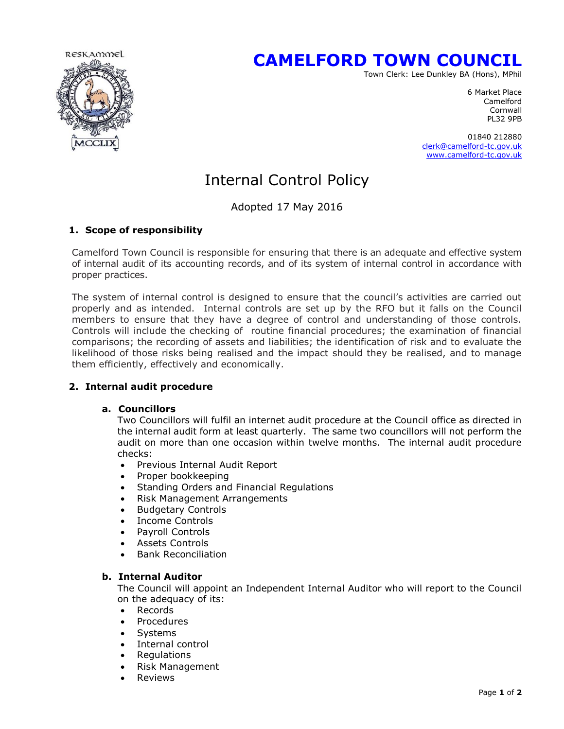

# **CAMELFORD TOWN COUNCIL**

Town Clerk: Lee Dunkley BA (Hons), MPhil

6 Market Place Camelford **Cornwall** PL32 9PB

> 01840 212880 [clerk@camelford-tc.gov.uk](mailto:clerk@camelford-tc.gov.uk) [www.camelford-tc.gov.uk](http://www.camelfordtown.net/)

## Internal Control Policy

Adopted 17 May 2016

## **1. Scope of responsibility**

Camelford Town Council is responsible for ensuring that there is an adequate and effective system of internal audit of its accounting records, and of its system of internal control in accordance with proper practices.

The system of internal control is designed to ensure that the council's activities are carried out properly and as intended. Internal controls are set up by the RFO but it falls on the Council members to ensure that they have a degree of control and understanding of those controls. Controls will include the checking of routine financial procedures; the examination of financial comparisons; the recording of assets and liabilities; the identification of risk and to evaluate the likelihood of those risks being realised and the impact should they be realised, and to manage them efficiently, effectively and economically.

## **2. Internal audit procedure**

### **a. Councillors**

Two Councillors will fulfil an internet audit procedure at the Council office as directed in the internal audit form at least quarterly. The same two councillors will not perform the audit on more than one occasion within twelve months. The internal audit procedure checks:

- Previous Internal Audit Report
- Proper bookkeeping
- Standing Orders and Financial Regulations
- Risk Management Arrangements
- Budgetary Controls
- Income Controls
- Payroll Controls
- Assets Controls
- Bank Reconciliation

### **b. Internal Auditor**

The Council will appoint an Independent Internal Auditor who will report to the Council on the adequacy of its:

- Records
- Procedures
- Systems
- Internal control
- **Regulations**
- Risk Management
- Reviews